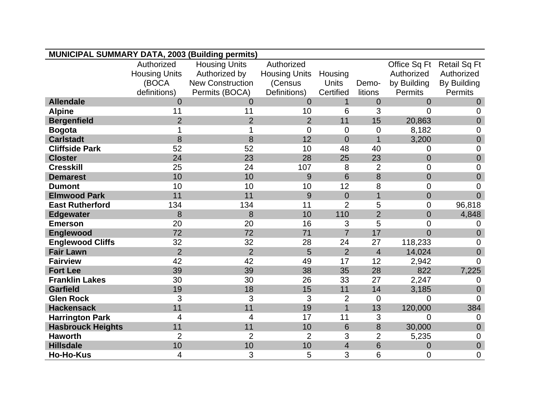| <b>MUNICIPAL SUMMARY DATA, 2003 (Building permits)</b> |                      |                         |                      |                |                |                |                     |
|--------------------------------------------------------|----------------------|-------------------------|----------------------|----------------|----------------|----------------|---------------------|
|                                                        | Authorized           | <b>Housing Units</b>    | Authorized           |                |                | Office Sq Ft   | <b>Retail Sq Ft</b> |
|                                                        | <b>Housing Units</b> | Authorized by           | <b>Housing Units</b> | Housing        |                | Authorized     | Authorized          |
|                                                        | (BOCA                | <b>New Construction</b> | (Census              | Units          | Demo-          | by Building    | By Building         |
|                                                        | definitions)         | Permits (BOCA)          | Definitions)         | Certified      | litions        | Permits        | Permits             |
| <b>Allendale</b>                                       | $\Omega$             | 0                       | $\Omega$             |                | $\overline{0}$ | $\overline{0}$ | $\overline{0}$      |
| <b>Alpine</b>                                          | 11                   | 11                      | 10                   | 6              | 3              | 0              | 0                   |
| <b>Bergenfield</b>                                     | $\overline{2}$       | $\overline{2}$          | $\overline{2}$       | 11             | 15             | 20,863         | $\overline{0}$      |
| <b>Bogota</b>                                          |                      |                         | $\Omega$             | 0              | $\mathbf 0$    | 8,182          | 0                   |
| <b>Carlstadt</b>                                       | 8                    | 8                       | 12                   | $\overline{0}$ | $\overline{1}$ | 3,200          | $\mathbf 0$         |
| <b>Cliffside Park</b>                                  | 52                   | 52                      | 10                   | 48             | 40             | 0              | 0                   |
| <b>Closter</b>                                         | 24                   | 23                      | 28                   | 25             | 23             | $\overline{0}$ | $\mathbf 0$         |
| <b>Cresskill</b>                                       | 25                   | 24                      | 107                  | 8              | $\overline{2}$ | 0              | $\mathbf 0$         |
| <b>Demarest</b>                                        | 10                   | 10                      | 9                    | 6              | 8              | $\overline{0}$ | $\boldsymbol{0}$    |
| <b>Dumont</b>                                          | 10                   | 10                      | 10                   | 12             | 8              | 0              | 0                   |
| <b>Elmwood Park</b>                                    | 11                   | 11                      | 9                    | $\overline{0}$ | $\mathbf 1$    | $\overline{0}$ | $\overline{0}$      |
| <b>East Rutherford</b>                                 | 134                  | 134                     | 11                   | $\overline{2}$ | 5              | $\overline{0}$ | 96,818              |
| <b>Edgewater</b>                                       | 8                    | 8                       | 10                   | 110            | $\overline{2}$ | $\overline{0}$ | 4,848               |
| <b>Emerson</b>                                         | 20                   | 20                      | 16                   | 3              | 5              | 0              | 0                   |
| Englewood                                              | 72                   | 72                      | 71                   | $\overline{7}$ | 17             | $\overline{0}$ | $\overline{0}$      |
| <b>Englewood Cliffs</b>                                | 32                   | 32                      | 28                   | 24             | 27             | 118,233        | 0                   |
| <b>Fair Lawn</b>                                       | $\overline{2}$       | $\overline{2}$          | 5                    | $\overline{2}$ | $\overline{4}$ | 14,024         | $\overline{0}$      |
| <b>Fairview</b>                                        | 42                   | 42                      | 49                   | 17             | 12             | 2,942          | $\Omega$            |
| <b>Fort Lee</b>                                        | 39                   | 39                      | 38                   | 35             | 28             | 822            | 7,225               |
| <b>Franklin Lakes</b>                                  | 30                   | 30                      | 26                   | 33             | 27             | 2,247          | 0                   |
| <b>Garfield</b>                                        | 19                   | 18                      | 15                   | 11             | 14             | 3,185          | $\overline{0}$      |
| <b>Glen Rock</b>                                       | 3                    | 3                       | 3                    | $\overline{2}$ | $\mathbf 0$    | 0              | 0                   |
| <b>Hackensack</b>                                      | 11                   | 11                      | 19                   | $\overline{1}$ | 13             | 120,000        | 384                 |
| <b>Harrington Park</b>                                 | $\overline{4}$       | 4                       | 17                   | 11             | 3              | $\overline{0}$ | $\overline{0}$      |
| <b>Hasbrouck Heights</b>                               | 11                   | 11                      | 10                   | 6              | 8              | 30,000         | $\overline{0}$      |
| <b>Haworth</b>                                         | $\overline{2}$       | $\overline{2}$          | $\overline{2}$       | 3              | $\overline{2}$ | 5,235          | $\mathbf 0$         |
| <b>Hillsdale</b>                                       | 10                   | 10                      | 10                   | $\overline{4}$ | 6              | $\mathbf 0$    | $\pmb{0}$           |
| <b>Ho-Ho-Kus</b>                                       | 4                    | 3                       | 5                    | 3              | 6              | $\overline{0}$ | $\overline{0}$      |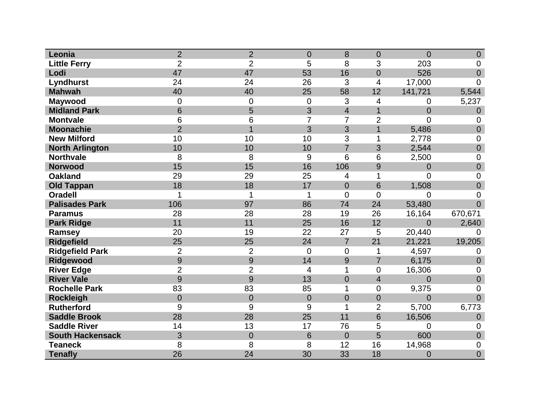| Leonia                  | $\overline{2}$ | $\overline{2}$ | $\overline{0}$ | 8              | $\overline{0}$           | $\overline{0}$ | $\mathbf 0$    |
|-------------------------|----------------|----------------|----------------|----------------|--------------------------|----------------|----------------|
| <b>Little Ferry</b>     | $\overline{2}$ | $\overline{2}$ | 5              | 8              | 3                        | 203            | 0              |
| Lodi                    | 47             | 47             | 53             | 16             | $\overline{0}$           | 526            | $\overline{0}$ |
| Lyndhurst               | 24             | 24             | 26             | 3              | 4                        | 17,000         | $\overline{0}$ |
| <b>Mahwah</b>           | 40             | 40             | 25             | 58             | 12                       | 141,721        | 5,544          |
| <b>Maywood</b>          | $\mathbf 0$    | $\mathbf 0$    | $\mathbf 0$    | 3              | 4                        | 0              | 5,237          |
| <b>Midland Park</b>     | 6              | 5              | 3              | $\overline{4}$ | $\overline{1}$           | $\overline{0}$ | $\overline{0}$ |
| <b>Montvale</b>         | 6              | 6              | 7              | $\overline{7}$ | $\overline{2}$           | $\overline{0}$ | $\Omega$       |
| <b>Moonachie</b>        | $\overline{2}$ | $\overline{1}$ | 3              | 3              | $\overline{1}$           | 5,486          | $\overline{0}$ |
| <b>New Milford</b>      | 10             | 10             | 10             | 3              | 1                        | 2,778          | $\mathbf 0$    |
| <b>North Arlington</b>  | 10             | 10             | 10             | $\overline{7}$ | 3                        | 2,544          | $\mathbf 0$    |
| <b>Northvale</b>        | 8              | 8              | 9              | 6              | 6                        | 2,500          | $\mathbf 0$    |
| <b>Norwood</b>          | 15             | 15             | 16             | 106            | 9                        | $\overline{0}$ | $\mathbf 0$    |
| <b>Oakland</b>          | 29             | 29             | 25             | 4              | 1                        | $\overline{0}$ | $\overline{0}$ |
| <b>Old Tappan</b>       | 18             | 18             | 17             | $\overline{0}$ | 6                        | 1,508          | $\overline{0}$ |
| <b>Oradell</b>          | 1              | 1              | 1              | $\overline{0}$ | $\overline{0}$           | $\overline{0}$ | $\overline{0}$ |
| <b>Palisades Park</b>   | 106            | 97             | 86             | 74             | 24                       | 53,480         | $\overline{0}$ |
| <b>Paramus</b>          | 28             | 28             | 28             | 19             | 26                       | 16,164         | 670,671        |
| <b>Park Ridge</b>       | 11             | 11             | 25             | 16             | 12                       | $\overline{0}$ | 2,640          |
| Ramsey                  | 20             | 19             | 22             | 27             | 5                        | 20,440         | $\Omega$       |
| <b>Ridgefield</b>       | 25             | 25             | 24             | $\overline{7}$ | 21                       | 21,221         | 19,205         |
| <b>Ridgefield Park</b>  | $\overline{2}$ | $\overline{2}$ | 0              | $\overline{0}$ | 1                        | 4,597          | 0              |
| Ridgewood               | 9              | 9              | 14             | 9              | $\overline{7}$           | 6,175          | $\overline{0}$ |
| <b>River Edge</b>       | $\overline{2}$ | $\overline{2}$ | 4              | 1              | $\overline{0}$           | 16,306         | 0              |
| <b>River Vale</b>       | 9              | 9              | 13             | $\overline{0}$ | $\overline{\mathcal{A}}$ | $\overline{0}$ | $\mathbf 0$    |
| <b>Rochelle Park</b>    | 83             | 83             | 85             | 1              | $\mathbf 0$              | 9,375          | 0              |
| <b>Rockleigh</b>        | $\overline{0}$ | $\overline{0}$ | $\overline{0}$ | $\overline{0}$ | $\overline{0}$           | $\overline{0}$ | $\overline{0}$ |
| <b>Rutherford</b>       | 9              | 9              | 9              | 1              | $\overline{2}$           | 5,700          | 6,773          |
| <b>Saddle Brook</b>     | 28             | 28             | 25             | 11             | 6                        | 16,506         | $\overline{0}$ |
| <b>Saddle River</b>     | 14             | 13             | 17             | 76             | 5                        | $\mathbf 0$    | $\mathbf 0$    |
| <b>South Hackensack</b> | 3              | $\mathbf 0$    | 6              | $\overline{0}$ | 5                        | 600            | $\mathbf 0$    |
| <b>Teaneck</b>          | 8              | 8              | 8              | 12             | 16                       | 14,968         | 0              |
| <b>Tenafly</b>          | 26             | 24             | 30             | 33             | 18                       | $\overline{0}$ | $\overline{0}$ |